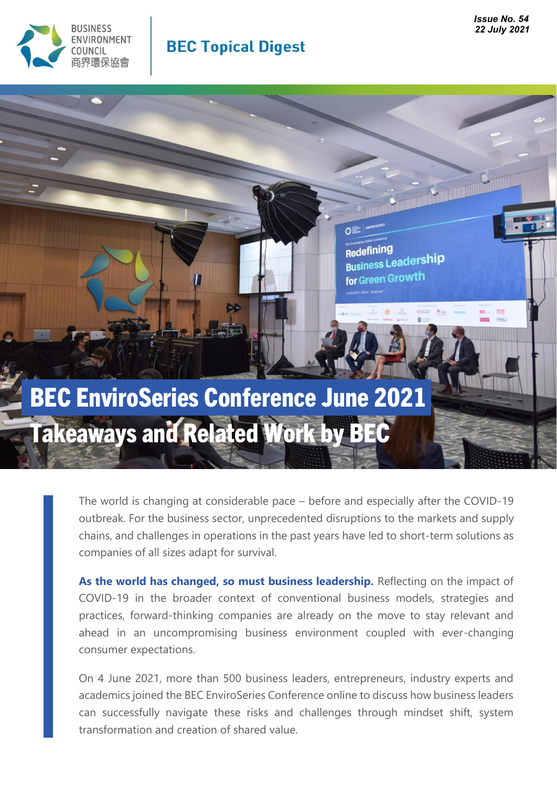

### **BEC Topical Digest**

## **Redefilions**<br>Business Leadership for Green Growth

Redefining

# BEC EnviroSeries Conference June 2021 Takeaways and Related Work by BEC

The world is changing at considerable pace – before and especially after the COVID-19 outbreak. For the business sector, unprecedented disruptions to the markets and supply chains, and challenges in operations in the past years have led to short-term solutions as companies of all sizes adapt for survival.

As the world has changed, so must business leadership. Reflecting on the impact of COVID-19 in the broader context of conventional business models, strategies and practices, forward-thinking companies are already on the move to stay relevant and ahead in an uncompromising business environment coupled with ever-changing consumer expectations.

On 4 June 2021, more than 500 business leaders, entrepreneurs, industry experts and academics joined the BEC EnviroSeries Conference online to discuss how business leaders can successfully navigate these risks and challenges through mindset shift, system transformation and creation of shared value.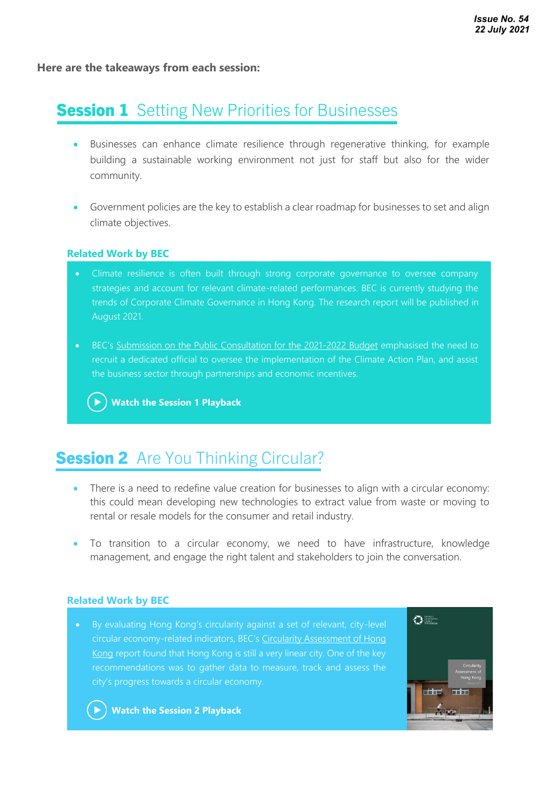**Here are the takeaways from each session:**

### **Session 1** Setting New Priorities for Businesses

- Businesses can enhance climate resilience through regenerative thinking, for example building a sustainable working environment not just for staff but also for the wider community.
- Government policies are the key to establish a clear roadmap for businesses to set and align climate objectives.

#### **Related Work by BEC**

- Climate resilience is often built through strong corporate governance to oversee company strategies and account for relevant climate-related performances. BEC is currently studying the trends of Corporate Climate Governance in Hong Kong. The research report will be published in August 2021.
- BEC's [Submission on the Public Consultation for the 2021-2022 Budget](https://www.bec.org.hk/sites/default/files/policy_submissions/BEC%202021-22%20Budget%20Submission_Final.pdf) emphasised the need to recruit a dedicated official to oversee the implementation of the Climate Action Plan, and assist the business sector through partnerships and economic incentives.

**[Watch the Session 1 Playback](https://www.youtube.com/watch?v=Ozfqv28NzPQ&list=PLaDoMbvzpGBHEHqgi5jEDxMTZ_3ee_wgK)**

#### **Session 2** Are You Thinking Circular? •

- There is a need to redefine value creation for businesses to align with a circular economy: this could mean developing new technologies to extract value from waste or moving to rental or resale models for the consumer and retail industry.
- To transition to a circular economy, we need to have infrastructure, knowledge management, and engage the right talent and stakeholders to join the conversation.

#### **Related Work by BEC**

circular economy-related indicators, BEC's [Circularity Assessment of Hong](https://www.bec.org.hk/sites/default/files/publications/BEC_Circularity_Assessment_Report_final.pdf)  [Kong](https://www.bec.org.hk/sites/default/files/publications/BEC_Circularity_Assessment_Report_final.pdf) report found that Hong Kong is still a very linear city. One of the key city's progress towards a circular economy.



**[Watch the Session 2 Playback](https://www.youtube.com/watch?v=KGpjdC-SLy0&list=PLaDoMbvzpGBHEHqgi5jEDxMTZ_3ee_wgK)**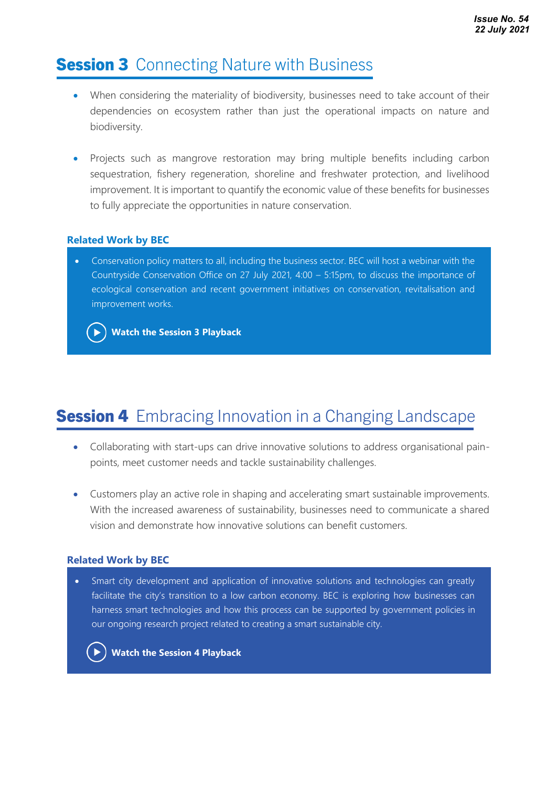### **Session 3** Connecting Nature with Business

- When considering the materiality of biodiversity, businesses need to take account of their dependencies on ecosystem rather than just the operational impacts on nature and biodiversity.
- Projects such as mangrove restoration may bring multiple benefits including carbon sequestration, fishery regeneration, shoreline and freshwater protection, and livelihood improvement. It is important to quantify the economic value of these benefits for businesses to fully appreciate the opportunities in nature conservation.

### **Related Work by BEC**

• Conservation policy matters to all, including the business sector. BEC will host a webinar with the Countryside Conservation Office on 27 July 2021, 4:00 – 5:15pm, to discuss the importance of ecological conservation and recent government initiatives on conservation, revitalisation and improvement works.



**[Watch the Session 3](https://www.youtube.com/watch?v=nvxnuSmSwok&list=PLaDoMbvzpGBHEHqgi5jEDxMTZ_3ee_wgK) Playback**

### **Session 4** Embracing Innovation in a Changing Landscape

- Collaborating with start-ups can drive innovative solutions to address organisational painpoints, meet customer needs and tackle sustainability challenges.
- Customers play an active role in shaping and accelerating smart sustainable improvements. With the increased awareness of sustainability, businesses need to communicate a shared vision and demonstrate how innovative solutions can benefit customers.

### **Related Work by BEC**

• Smart city development and application of innovative solutions and technologies can greatly facilitate the city's transition to a low carbon economy. BEC is exploring how businesses can harness smart technologies and how this process can be supported by government policies in our ongoing research project related to creating a smart sustainable city.



**[Watch the Session 4 Playback](https://www.youtube.com/watch?v=b-etklpZXKQ&list=PLaDoMbvzpGBHEHqgi5jEDxMTZ_3ee_wgK)**